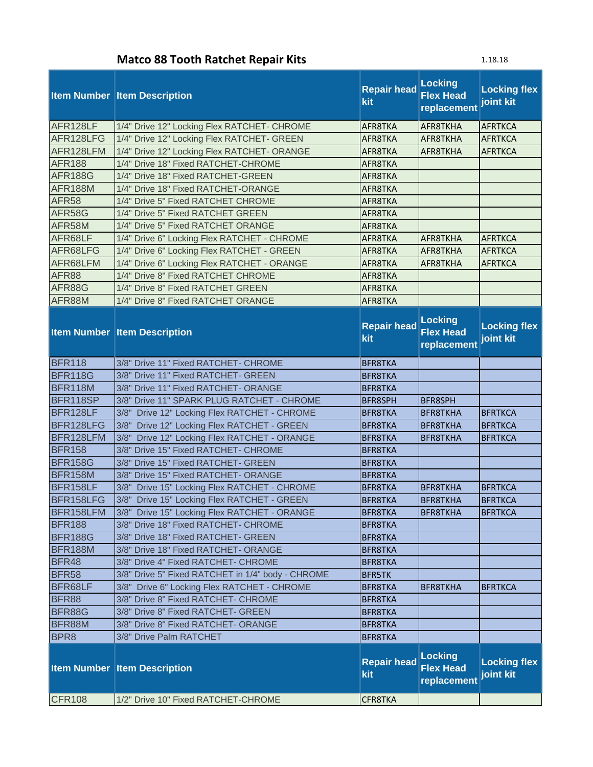## **Matco 88 Tooth Ratchet Repair Kits**

| 10.1<br>o |  |
|-----------|--|
|-----------|--|

|                | <b>Item Number Item Description</b>               | <b>Repair head</b><br>kit | <b>Locking</b><br><b>Flex Head</b><br>replacement | <b>Locking flex</b><br>joint kit |
|----------------|---------------------------------------------------|---------------------------|---------------------------------------------------|----------------------------------|
| AFR128LF       | 1/4" Drive 12" Locking Flex RATCHET- CHROME       | AFR8TKA                   | AFR8TKHA                                          | <b>AFRTKCA</b>                   |
| AFR128LFG      | 1/4" Drive 12" Locking Flex RATCHET- GREEN        | AFR8TKA                   | AFR8TKHA                                          | <b>AFRTKCA</b>                   |
| AFR128LFM      | 1/4" Drive 12" Locking Flex RATCHET- ORANGE       | AFR8TKA                   | AFR8TKHA                                          | <b>AFRTKCA</b>                   |
| <b>AFR188</b>  | 1/4" Drive 18" Fixed RATCHET-CHROME               | AFR8TKA                   |                                                   |                                  |
| <b>AFR188G</b> | 1/4" Drive 18" Fixed RATCHET-GREEN                | AFR8TKA                   |                                                   |                                  |
| AFR188M        | 1/4" Drive 18" Fixed RATCHET-ORANGE               | AFR8TKA                   |                                                   |                                  |
| <b>AFR58</b>   | 1/4" Drive 5" Fixed RATCHET CHROME                | AFR8TKA                   |                                                   |                                  |
| AFR58G         | 1/4" Drive 5" Fixed RATCHET GREEN                 | AFR8TKA                   |                                                   |                                  |
| AFR58M         | 1/4" Drive 5" Fixed RATCHET ORANGE                | AFR8TKA                   |                                                   |                                  |
| AFR68LF        | 1/4" Drive 6" Locking Flex RATCHET - CHROME       | AFR8TKA                   | AFR8TKHA                                          | <b>AFRTKCA</b>                   |
| AFR68LFG       | 1/4" Drive 6" Locking Flex RATCHET - GREEN        | AFR8TKA                   | AFR8TKHA                                          | <b>AFRTKCA</b>                   |
| AFR68LFM       | 1/4" Drive 6" Locking Flex RATCHET - ORANGE       | AFR8TKA                   | AFR8TKHA                                          | <b>AFRTKCA</b>                   |
| AFR88          | 1/4" Drive 8" Fixed RATCHET CHROME                | AFR8TKA                   |                                                   |                                  |
| AFR88G         | 1/4" Drive 8" Fixed RATCHET GREEN                 | AFR8TKA                   |                                                   |                                  |
| AFR88M         | 1/4" Drive 8" Fixed RATCHET ORANGE                | AFR8TKA                   |                                                   |                                  |
|                | <b>Item Number Item Description</b>               | <b>Repair head</b><br>kit | <b>Locking</b><br><b>Flex Head</b><br>replacement | <b>Locking flex</b><br>joint kit |
| <b>BFR118</b>  | 3/8" Drive 11" Fixed RATCHET- CHROME              | <b>BFR8TKA</b>            |                                                   |                                  |
| <b>BFR118G</b> | 3/8" Drive 11" Fixed RATCHET- GREEN               | <b>BFR8TKA</b>            |                                                   |                                  |
| <b>BFR118M</b> | 3/8" Drive 11" Fixed RATCHET- ORANGE              | <b>BFR8TKA</b>            |                                                   |                                  |
| BFR118SP       | 3/8" Drive 11" SPARK PLUG RATCHET - CHROME        | <b>BFR8SPH</b>            | <b>BFR8SPH</b>                                    |                                  |
| BFR128LF       | 3/8" Drive 12" Locking Flex RATCHET - CHROME      | <b>BFR8TKA</b>            | <b>BFR8TKHA</b>                                   | <b>BFRTKCA</b>                   |
| BFR128LFG      | 3/8" Drive 12" Locking Flex RATCHET - GREEN       | <b>BFR8TKA</b>            | <b>BFR8TKHA</b>                                   | <b>BFRTKCA</b>                   |
| BFR128LFM      | 3/8" Drive 12" Locking Flex RATCHET - ORANGE      | <b>BFR8TKA</b>            | <b>BFR8TKHA</b>                                   | <b>BFRTKCA</b>                   |
| <b>BFR158</b>  | 3/8" Drive 15" Fixed RATCHET- CHROME              | <b>BFR8TKA</b>            |                                                   |                                  |
| <b>BFR158G</b> | 3/8" Drive 15" Fixed RATCHET- GREEN               | <b>BFR8TKA</b>            |                                                   |                                  |
| <b>BFR158M</b> | 3/8" Drive 15" Fixed RATCHET- ORANGE              | <b>BFR8TKA</b>            |                                                   |                                  |
| BFR158LF       | 3/8" Drive 15" Locking Flex RATCHET - CHROME      | <b>BFR8TKA</b>            | <b>BFR8TKHA</b>                                   | <b>BFRTKCA</b>                   |
| BFR158LFG      | 3/8" Drive 15" Locking Flex RATCHET - GREEN       | <b>BFR8TKA</b>            | <b>BFR8TKHA</b>                                   | <b>BFRTKCA</b>                   |
| BFR158LFM      | 3/8" Drive 15" Locking Flex RATCHET - ORANGE      | <b>BFR8TKA</b>            | <b>BFR8TKHA</b>                                   | <b>BFRTKCA</b>                   |
| <b>BFR188</b>  | 3/8" Drive 18" Fixed RATCHET- CHROME              | <b>BFR8TKA</b>            |                                                   |                                  |
| <b>BFR188G</b> | 3/8" Drive 18" Fixed RATCHET- GREEN               | <b>BFR8TKA</b>            |                                                   |                                  |
| <b>BFR188M</b> | 3/8" Drive 18" Fixed RATCHET- ORANGE              | <b>BFR8TKA</b>            |                                                   |                                  |
| BFR48          | 3/8" Drive 4" Fixed RATCHET- CHROME               | <b>BFR8TKA</b>            |                                                   |                                  |
| <b>BFR58</b>   | 3/8" Drive 5" Fixed RATCHET in 1/4" body - CHROME | <b>BFR5TK</b>             |                                                   |                                  |
| BFR68LF        | 3/8" Drive 6" Locking Flex RATCHET - CHROME       | <b>BFR8TKA</b>            | <b>BFR8TKHA</b>                                   | <b>BFRTKCA</b>                   |
| <b>BFR88</b>   | 3/8" Drive 8" Fixed RATCHET- CHROME               | <b>BFR8TKA</b>            |                                                   |                                  |
| BFR88G         | 3/8" Drive 8" Fixed RATCHET- GREEN                | <b>BFR8TKA</b>            |                                                   |                                  |
| BFR88M         | 3/8" Drive 8" Fixed RATCHET- ORANGE               | <b>BFR8TKA</b>            |                                                   |                                  |
| BPR8           | 3/8" Drive Palm RATCHET                           | <b>BFR8TKA</b>            |                                                   |                                  |
|                | <b>Item Number Item Description</b>               | <b>Repair head</b><br>kit | <b>Locking</b><br><b>Flex Head</b><br>replacement | <b>Locking flex</b><br>joint kit |
| <b>CFR108</b>  | 1/2" Drive 10" Fixed RATCHET-CHROME               | CFR8TKA                   |                                                   |                                  |